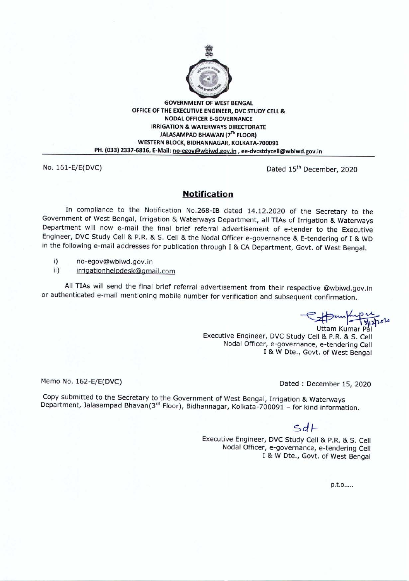

GOVERNMENT OF WEST BENGAL OFFICE OF THE EXECUTIVE ENGINEER, DVC STUDY CELL & **NODAL OFFICER E-GOVERNANCE** IRRIGATION & WATERWAYS DIRECTORATE JALASAMPAD BHAWAN (7Th FLOOR) WESTERN BLOCK, BIDHANNAGAR, KOLKATA-700091 PH. (033) 2337-6816, E-Mail: no-egov@wbiwd.gov.in, ee-dvcstdycell@wbiwd.gov.in

No. 161-E/E(DVC) Dated 15<sup>th</sup> December, 2020

## **Notification**

In compliance to the Notification No.268-IB dated 14.12.2020 of the Secretary to the Government of West Bengal, Irrigation & Waterways Department, all TIAs of Irrigation & Waterways Department will now e-mail the final brief referral advertisement of e-tender to the Executive Engineer, DVC Study Cell & P.R. & S. Cell & the Nodal Officer e-governance & E-tendering of I & WD in the following e-mail addresses for publication through I & CA Department, Govt. of West Bengal.

- i) no-egov@wbiwd.gov.in
- ii) irrigationhelpdesk@gmail.com

All TIAs will send the final brief referral advertisement from their respective @wbiwd.gov.in or authenticated e-mail mentioning mobile number for verification and subsequent confirmation.

 $~\Rightarrow$ 

Uttam Kumar P Executive Engineer, DVC Study Cell & P.R. & S. Cell Nodal Officer, e-governance, e-tendering Cell I & W Dte., Govt. of West Bengal

Memo No. 162-E/E(DVC) Memo No. 162-E/E(DVC)

Copy submitted to the Secretary to the Government of West Bengal, Irrigation & Waterways Department, Jalasampad Bhavan(3rd Floor), Bidhannagar, Kolkata-700091 - for kind information.

## $Sdf$

Executive Engineer, DVC Study Cell & P.R. & S. Cell Nodal Officer, e-governance, e-tendering Cell I & W Dte., Govt. of West Bengal

p.t.o.....